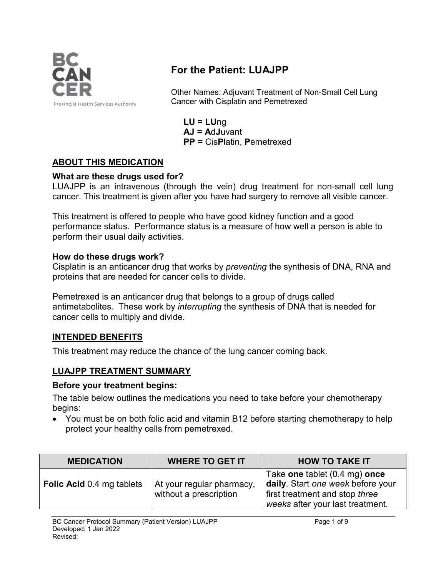

# **For the Patient: LUAJPP**

Other Names: Adjuvant Treatment of Non-Small Cell Lung Cancer with Cisplatin and Pemetrexed

**LU = LU**ng **AJ = A**d**J**uvant **PP =** Cis**P**latin, **P**emetrexed

### **ABOUT THIS MEDICATION**

#### **What are these drugs used for?**

LUAJPP is an intravenous (through the vein) drug treatment for non-small cell lung cancer. This treatment is given after you have had surgery to remove all visible cancer.

This treatment is offered to people who have good kidney function and a good performance status. Performance status is a measure of how well a person is able to perform their usual daily activities.

#### **How do these drugs work?**

Cisplatin is an anticancer drug that works by *preventing* the synthesis of DNA, RNA and proteins that are needed for cancer cells to divide.

Pemetrexed is an anticancer drug that belongs to a group of drugs called antimetabolites. These work by *interrupting* the synthesis of DNA that is needed for cancer cells to multiply and divide.

### **INTENDED BENEFITS**

This treatment may reduce the chance of the lung cancer coming back.

### **LUAJPP TREATMENT SUMMARY**

#### **Before your treatment begins:**

The table below outlines the medications you need to take before your chemotherapy begins:

• You must be on both folic acid and vitamin B12 before starting chemotherapy to help protect your healthy cells from pemetrexed.

| <b>MEDICATION</b>                | <b>WHERE TO GET IT</b>                              | <b>HOW TO TAKE IT</b>                                                                                                                    |  |
|----------------------------------|-----------------------------------------------------|------------------------------------------------------------------------------------------------------------------------------------------|--|
| <b>Folic Acid 0.4 mg tablets</b> | At your regular pharmacy,<br>without a prescription | Take one tablet (0.4 mg) once<br>daily. Start one week before your<br>first treatment and stop three<br>weeks after your last treatment. |  |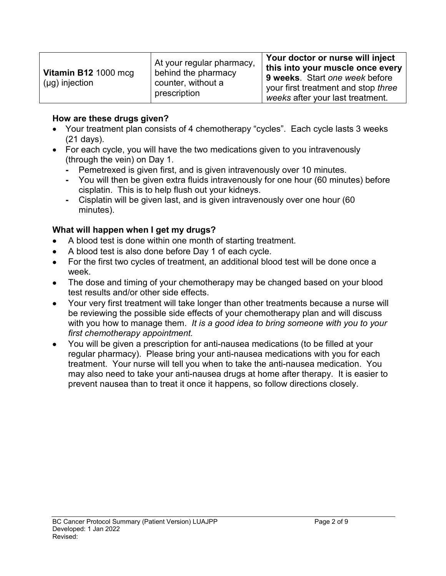#### **How are these drugs given?**

- Your treatment plan consists of 4 chemotherapy "cycles". Each cycle lasts 3 weeks (21 days).
- For each cycle, you will have the two medications given to you intravenously (through the vein) on Day 1.
	- **-** Pemetrexed is given first, and is given intravenously over 10 minutes.
	- **-** You will then be given extra fluids intravenously for one hour (60 minutes) before cisplatin. This is to help flush out your kidneys.
	- **-** Cisplatin will be given last, and is given intravenously over one hour (60 minutes).

### **What will happen when I get my drugs?**

- A blood test is done within one month of starting treatment.
- A blood test is also done before Day 1 of each cycle.
- For the first two cycles of treatment, an additional blood test will be done once a week.
- The dose and timing of your chemotherapy may be changed based on your blood test results and/or other side effects.
- Your very first treatment will take longer than other treatments because a nurse will be reviewing the possible side effects of your chemotherapy plan and will discuss with you how to manage them. *It is a good idea to bring someone with you to your first chemotherapy appointment.*
- You will be given a prescription for anti-nausea medications (to be filled at your regular pharmacy). Please bring your anti-nausea medications with you for each treatment. Your nurse will tell you when to take the anti-nausea medication. You may also need to take your anti-nausea drugs at home after therapy. It is easier to prevent nausea than to treat it once it happens, so follow directions closely.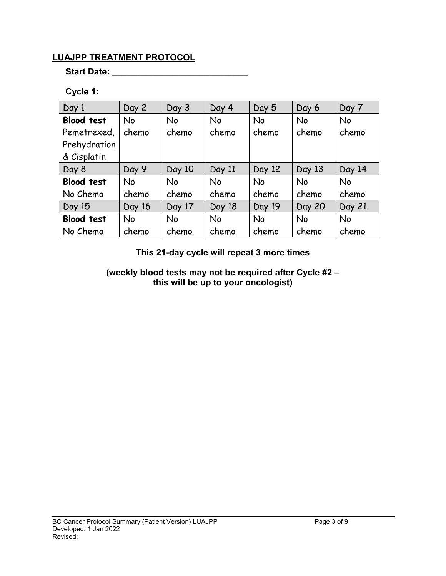## **LUAJPP TREATMENT PROTOCOL**

**Start Date: \_\_\_\_\_\_\_\_\_\_\_\_\_\_\_\_\_\_\_\_\_\_\_\_\_\_\_\_**

## **Cycle 1:**

| Day 1             | Day 2     | Day 3     | Day 4     | Day 5     | Day 6     | Day 7     |
|-------------------|-----------|-----------|-----------|-----------|-----------|-----------|
| <b>Blood test</b> | <b>No</b> | <b>No</b> | No        | <b>No</b> | <b>No</b> | <b>No</b> |
| Pemetrexed,       | chemo     | chemo     | chemo     | chemo     | chemo     | chemo     |
| Prehydration      |           |           |           |           |           |           |
| & Cisplatin       |           |           |           |           |           |           |
| Day 8             | Day 9     | Day 10    | Day 11    | Day 12    | Day 13    | Day 14    |
| <b>Blood test</b> | <b>No</b> | <b>No</b> | <b>No</b> | <b>No</b> | <b>No</b> | <b>No</b> |
| No Chemo          | chemo     | chemo     | chemo     | chemo     | chemo     | chemo     |
| Day 15            | Day 16    | Day 17    | Day 18    | Day 19    | Day 20    | Day 21    |
| <b>Blood test</b> | <b>No</b> | No        | <b>No</b> | <b>No</b> | <b>No</b> | <b>No</b> |
| No Chemo          | chemo     | chemo     | chemo     | chemo     | chemo     | chemo     |

**This 21-day cycle will repeat 3 more times**

**(weekly blood tests may not be required after Cycle #2 – this will be up to your oncologist)**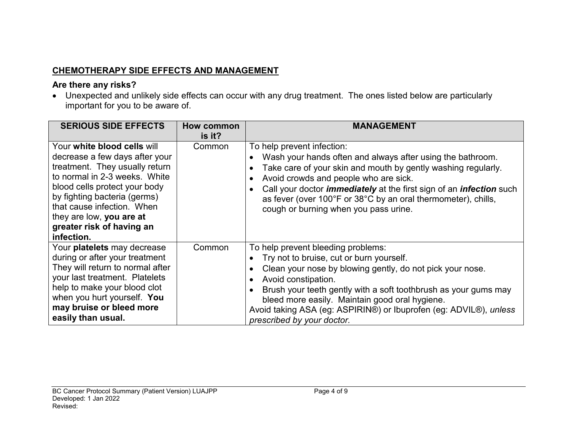# **CHEMOTHERAPY SIDE EFFECTS AND MANAGEMENT**

### **Are there any risks?**

• Unexpected and unlikely side effects can occur with any drug treatment. The ones listed below are particularly important for you to be aware of.

| <b>SERIOUS SIDE EFFECTS</b>                                                                                                                                                                                                                                                                            | How common<br>is it? | <b>MANAGEMENT</b>                                                                                                                                                                                                                                                                                                                                                                                 |
|--------------------------------------------------------------------------------------------------------------------------------------------------------------------------------------------------------------------------------------------------------------------------------------------------------|----------------------|---------------------------------------------------------------------------------------------------------------------------------------------------------------------------------------------------------------------------------------------------------------------------------------------------------------------------------------------------------------------------------------------------|
| Your white blood cells will<br>decrease a few days after your<br>treatment. They usually return<br>to normal in 2-3 weeks. White<br>blood cells protect your body<br>by fighting bacteria (germs)<br>that cause infection. When<br>they are low, you are at<br>greater risk of having an<br>infection. | Common               | To help prevent infection:<br>Wash your hands often and always after using the bathroom.<br>Take care of your skin and mouth by gently washing regularly.<br>Avoid crowds and people who are sick.<br>Call your doctor <i>immediately</i> at the first sign of an <i>infection</i> such<br>as fever (over 100°F or 38°C by an oral thermometer), chills,<br>cough or burning when you pass urine. |
| Your platelets may decrease<br>during or after your treatment<br>They will return to normal after<br>your last treatment. Platelets<br>help to make your blood clot<br>when you hurt yourself. You<br>may bruise or bleed more<br>easily than usual.                                                   | Common               | To help prevent bleeding problems:<br>Try not to bruise, cut or burn yourself.<br>Clean your nose by blowing gently, do not pick your nose.<br>Avoid constipation.<br>Brush your teeth gently with a soft toothbrush as your gums may<br>bleed more easily. Maintain good oral hygiene.<br>Avoid taking ASA (eg: ASPIRIN®) or Ibuprofen (eg: ADVIL®), unless<br>prescribed by your doctor.        |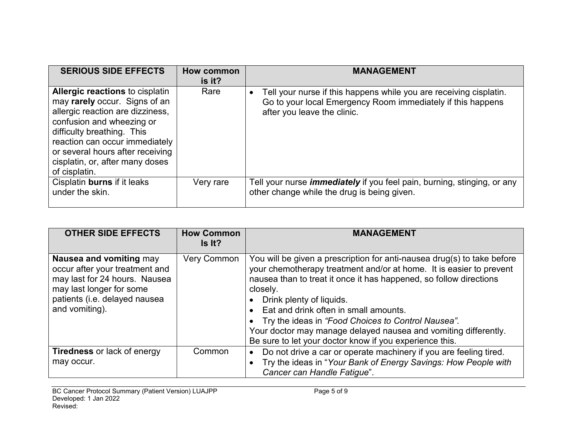| <b>SERIOUS SIDE EFFECTS</b>                                                                                                                                                                                                                                                                      | <b>How common</b><br>is it? | <b>MANAGEMENT</b>                                                                                                                                                |
|--------------------------------------------------------------------------------------------------------------------------------------------------------------------------------------------------------------------------------------------------------------------------------------------------|-----------------------------|------------------------------------------------------------------------------------------------------------------------------------------------------------------|
| <b>Allergic reactions to cisplatin</b><br>may rarely occur. Signs of an<br>allergic reaction are dizziness,<br>confusion and wheezing or<br>difficulty breathing. This<br>reaction can occur immediately<br>or several hours after receiving<br>cisplatin, or, after many doses<br>of cisplatin. | Rare                        | Tell your nurse if this happens while you are receiving cisplatin.<br>Go to your local Emergency Room immediately if this happens<br>after you leave the clinic. |
| Cisplatin burns if it leaks<br>under the skin.                                                                                                                                                                                                                                                   | Very rare                   | Tell your nurse <i>immediately</i> if you feel pain, burning, stinging, or any<br>other change while the drug is being given.                                    |

| <b>OTHER SIDE EFFECTS</b>                                                                                                                                                 | <b>How Common</b><br>Is It? | <b>MANAGEMENT</b>                                                                                                                                                                                                                                                                                                                                                                                                                                                                           |
|---------------------------------------------------------------------------------------------------------------------------------------------------------------------------|-----------------------------|---------------------------------------------------------------------------------------------------------------------------------------------------------------------------------------------------------------------------------------------------------------------------------------------------------------------------------------------------------------------------------------------------------------------------------------------------------------------------------------------|
| Nausea and vomiting may<br>occur after your treatment and<br>may last for 24 hours. Nausea<br>may last longer for some<br>patients (i.e. delayed nausea<br>and vomiting). | <b>Very Common</b>          | You will be given a prescription for anti-nausea drug(s) to take before<br>your chemotherapy treatment and/or at home. It is easier to prevent<br>nausea than to treat it once it has happened, so follow directions<br>closely.<br>Drink plenty of liquids.<br>Eat and drink often in small amounts.<br>• Try the ideas in "Food Choices to Control Nausea".<br>Your doctor may manage delayed nausea and vomiting differently.<br>Be sure to let your doctor know if you experience this. |
| <b>Tiredness</b> or lack of energy<br>may occur.                                                                                                                          | Common                      | Do not drive a car or operate machinery if you are feeling tired.<br>• Try the ideas in "Your Bank of Energy Savings: How People with<br>Cancer can Handle Fatigue".                                                                                                                                                                                                                                                                                                                        |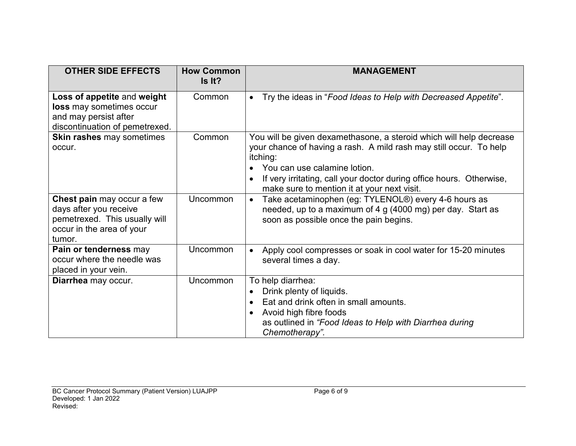| <b>OTHER SIDE EFFECTS</b>                                                                                                    | <b>How Common</b><br>Is It? | <b>MANAGEMENT</b>                                                                                                                                                                                                                                                                                            |
|------------------------------------------------------------------------------------------------------------------------------|-----------------------------|--------------------------------------------------------------------------------------------------------------------------------------------------------------------------------------------------------------------------------------------------------------------------------------------------------------|
| Loss of appetite and weight<br>loss may sometimes occur<br>and may persist after<br>discontinuation of pemetrexed.           | Common                      | Try the ideas in "Food Ideas to Help with Decreased Appetite".<br>$\bullet$                                                                                                                                                                                                                                  |
| Skin rashes may sometimes<br>occur.                                                                                          | Common                      | You will be given dexamethasone, a steroid which will help decrease<br>your chance of having a rash. A mild rash may still occur. To help<br>itching:<br>You can use calamine lotion.<br>If very irritating, call your doctor during office hours. Otherwise,<br>make sure to mention it at your next visit. |
| Chest pain may occur a few<br>days after you receive<br>pemetrexed. This usually will<br>occur in the area of your<br>tumor. | Uncommon                    | Take acetaminophen (eg: TYLENOL®) every 4-6 hours as<br>$\bullet$<br>needed, up to a maximum of 4 g (4000 mg) per day. Start as<br>soon as possible once the pain begins.                                                                                                                                    |
| Pain or tenderness may<br>occur where the needle was<br>placed in your vein.                                                 | Uncommon                    | Apply cool compresses or soak in cool water for 15-20 minutes<br>several times a day.                                                                                                                                                                                                                        |
| Diarrhea may occur.                                                                                                          | Uncommon                    | To help diarrhea:<br>Drink plenty of liquids.<br>Eat and drink often in small amounts.<br>Avoid high fibre foods<br>$\bullet$<br>as outlined in "Food Ideas to Help with Diarrhea during<br>Chemotherapy".                                                                                                   |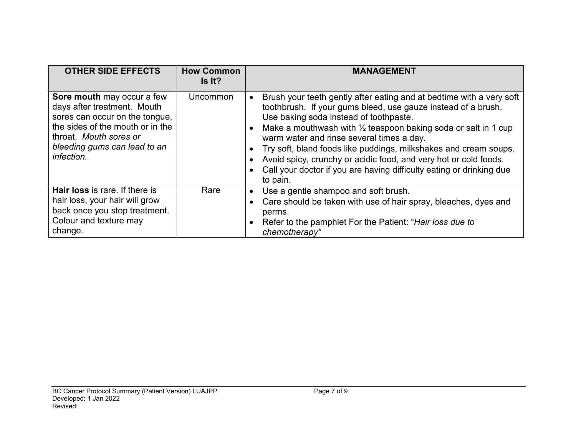| <b>OTHER SIDE EFFECTS</b>                                                                                                                                                                               | <b>How Common</b><br>Is It? | MANAGEMENT                                                                                                                                                                                                                                                                                                                                                                                                                                                                                                                            |
|---------------------------------------------------------------------------------------------------------------------------------------------------------------------------------------------------------|-----------------------------|---------------------------------------------------------------------------------------------------------------------------------------------------------------------------------------------------------------------------------------------------------------------------------------------------------------------------------------------------------------------------------------------------------------------------------------------------------------------------------------------------------------------------------------|
| Sore mouth may occur a few<br>days after treatment. Mouth<br>sores can occur on the tongue,<br>the sides of the mouth or in the<br>throat. Mouth sores or<br>bleeding gums can lead to an<br>infection. | Uncommon                    | Brush your teeth gently after eating and at bedtime with a very soft<br>toothbrush. If your gums bleed, use gauze instead of a brush.<br>Use baking soda instead of toothpaste.<br>Make a mouthwash with $\frac{1}{2}$ teaspoon baking soda or salt in 1 cup<br>warm water and rinse several times a day.<br>Try soft, bland foods like puddings, milkshakes and cream soups.<br>Avoid spicy, crunchy or acidic food, and very hot or cold foods.<br>Call your doctor if you are having difficulty eating or drinking due<br>to pain. |
| Hair loss is rare. If there is<br>hair loss, your hair will grow<br>back once you stop treatment.<br>Colour and texture may<br>change.                                                                  | Rare                        | Use a gentle shampoo and soft brush.<br>$\bullet$<br>Care should be taken with use of hair spray, bleaches, dyes and<br>perms.<br>Refer to the pamphlet For the Patient: "Hair loss due to<br>$\bullet$<br>chemotherapy"                                                                                                                                                                                                                                                                                                              |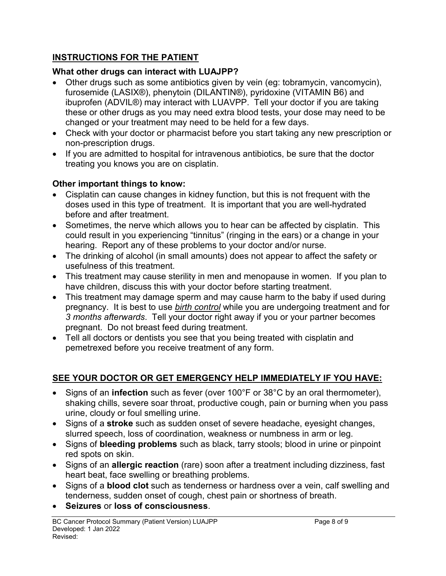# **INSTRUCTIONS FOR THE PATIENT**

# **What other drugs can interact with LUAJPP?**

- Other drugs such as some antibiotics given by vein (eg: tobramycin, vancomycin), furosemide (LASIX®), phenytoin (DILANTIN®), pyridoxine (VITAMIN B6) and ibuprofen (ADVIL®) may interact with LUAVPP. Tell your doctor if you are taking these or other drugs as you may need extra blood tests, your dose may need to be changed or your treatment may need to be held for a few days.
- Check with your doctor or pharmacist before you start taking any new prescription or non-prescription drugs.
- If you are admitted to hospital for intravenous antibiotics, be sure that the doctor treating you knows you are on cisplatin.

# **Other important things to know:**

- Cisplatin can cause changes in kidney function, but this is not frequent with the doses used in this type of treatment. It is important that you are well-hydrated before and after treatment.
- Sometimes, the nerve which allows you to hear can be affected by cisplatin. This could result in you experiencing "tinnitus" (ringing in the ears) or a change in your hearing. Report any of these problems to your doctor and/or nurse.
- The drinking of alcohol (in small amounts) does not appear to affect the safety or usefulness of this treatment.
- This treatment may cause sterility in men and menopause in women. If you plan to have children, discuss this with your doctor before starting treatment.
- This treatment may damage sperm and may cause harm to the baby if used during pregnancy. It is best to use *birth control* while you are undergoing treatment and for *3 months afterwards*. Tell your doctor right away if you or your partner becomes pregnant. Do not breast feed during treatment.
- Tell all doctors or dentists you see that you being treated with cisplatin and pemetrexed before you receive treatment of any form.

# **SEE YOUR DOCTOR OR GET EMERGENCY HELP IMMEDIATELY IF YOU HAVE:**

- Signs of an **infection** such as fever (over 100°F or 38°C by an oral thermometer), shaking chills, severe soar throat, productive cough, pain or burning when you pass urine, cloudy or foul smelling urine.
- Signs of a **stroke** such as sudden onset of severe headache, eyesight changes, slurred speech, loss of coordination, weakness or numbness in arm or leg.
- Signs of **bleeding problems** such as black, tarry stools; blood in urine or pinpoint red spots on skin.
- Signs of an **allergic reaction** (rare) soon after a treatment including dizziness, fast heart beat, face swelling or breathing problems.
- Signs of a **blood clot** such as tenderness or hardness over a vein, calf swelling and tenderness, sudden onset of cough, chest pain or shortness of breath.
- **Seizures** or **loss of consciousness**.